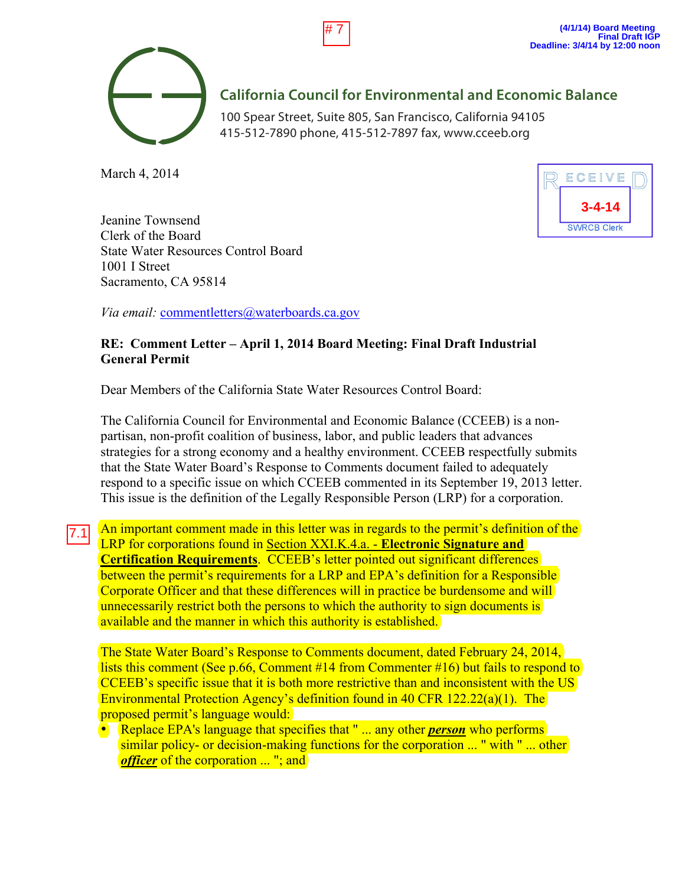

## **California Council for Environmental and Economic Balance**

100 Spear Street, Suite 805, San Francisco, California 94105 415-512-7890 phone, 415-512-7897 fax, www.cceeb.org

# 7

March 4, 2014



Jeanine Townsend Clerk of the Board State Water Resources Control Board 1001 I Street Sacramento, CA 95814

*Via email:* commentletters@waterboards.ca.gov

## **RE: Comment Letter – April 1, 2014 Board Meeting: Final Draft Industrial General Permit**

Dear Members of the California State Water Resources Control Board:

The California Council for Environmental and Economic Balance (CCEEB) is a nonpartisan, non-profit coalition of business, labor, and public leaders that advances strategies for a strong economy and a healthy environment. CCEEB respectfully submits that the State Water Board's Response to Comments document failed to adequately respond to a specific issue on which CCEEB commented in its September 19, 2013 letter. This issue is the definition of the Legally Responsible Person (LRP) for a corporation.

An important comment made in this letter was in regards to the permit's definition of the LRP for corporations found in Section XXI.K.4.a. - **Electronic Signature and Certification Requirements**. CCEEB's letter pointed out significant differences between the permit's requirements for a LRP and EPA's definition for a Responsible Corporate Officer and that these differences will in practice be burdensome and will unnecessarily restrict both the persons to which the authority to sign documents is available and the manner in which this authority is established. 7.1

The State Water Board's Response to Comments document, dated February 24, 2014, lists this comment (See p.66, Comment #14 from Commenter #16) but fails to respond to CCEEB's specific issue that it is both more restrictive than and inconsistent with the US Environmental Protection Agency's definition found in 40 CFR 122.22(a)(1). The proposed permit's language would:

• Replace EPA's language that specifies that " ... any other *person* who performs similar policy- or decision-making functions for the corporation ... " with " ... other *officer* of the corporation ... "; and